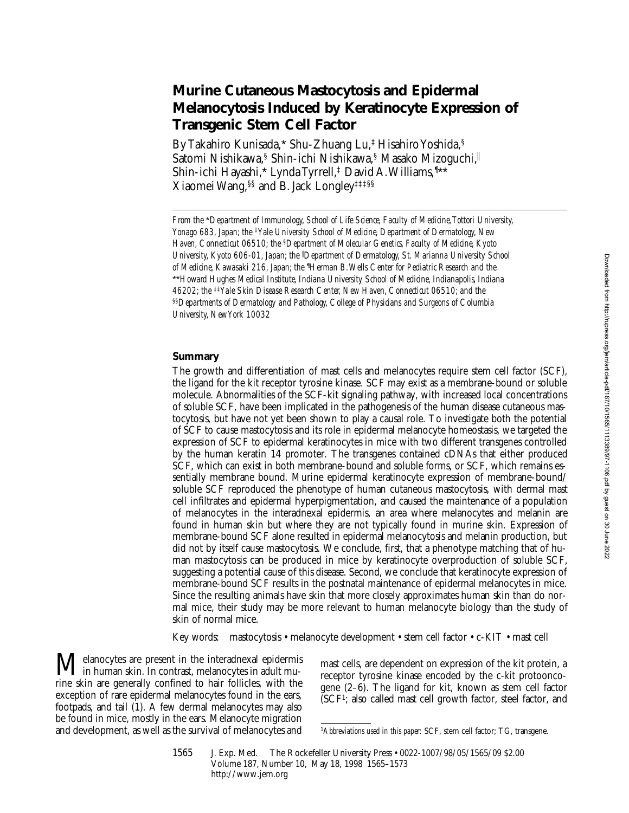# **Murine Cutaneous Mastocytosis and Epidermal Melanocytosis Induced by Keratinocyte Expression of Transgenic Stem Cell Factor**

By Takahiro Kunisada,\* Shu-Zhuang Lu,‡ Hisahiro Yoshida,§ Satomi Nishikawa,<sup>§</sup> Shin-ichi Nishikawa,§ Masako Mizoguchi, Shin-ichi Hayashi,\* Lynda Tyrrell,‡ David A. Williams,¶ \*\* Xiaomei Wang,§§ and B. Jack Longley‡‡‡§§

*From the* \**Department of Immunology, School of Life Science, Faculty of Medicine, Tottori University, Yonago 683, Japan; the* ‡*Yale University School of Medicine, Department of Dermatology, New Haven, Connecticut 06510; the* §*Department of Molecular Genetics, Faculty of Medicine, Kyoto University, Kyoto 606-01, Japan; the* <sup>i</sup> *Department of Dermatology, St. Marianna University School*  of Medicine, Kawasaki 216, Japan; the <sup>1</sup>Herman B. Wells Center for Pediatric Research and the \*\**Howard Hughes Medical Institute, Indiana University School of Medicine, Indianapolis, Indiana 46202; the* ‡‡*Yale Skin Disease Research Center, New Haven, Connecticut 06510; and the*  §§*Departments of Dermatology and Pathology, College of Physicians and Surgeons of Columbia University, New York 10032*

# **Summary**

The growth and differentiation of mast cells and melanocytes require stem cell factor (SCF), the ligand for the kit receptor tyrosine kinase. SCF may exist as a membrane-bound or soluble molecule. Abnormalities of the SCF-kit signaling pathway, with increased local concentrations of soluble SCF, have been implicated in the pathogenesis of the human disease cutaneous mastocytosis, but have not yet been shown to play a causal role. To investigate both the potential of SCF to cause mastocytosis and its role in epidermal melanocyte homeostasis, we targeted the expression of SCF to epidermal keratinocytes in mice with two different transgenes controlled by the human keratin 14 promoter. The transgenes contained cDNAs that either produced SCF, which can exist in both membrane-bound and soluble forms, or SCF, which remains essentially membrane bound. Murine epidermal keratinocyte expression of membrane-bound/ soluble SCF reproduced the phenotype of human cutaneous mastocytosis, with dermal mast cell infiltrates and epidermal hyperpigmentation, and caused the maintenance of a population of melanocytes in the interadnexal epidermis, an area where melanocytes and melanin are found in human skin but where they are not typically found in murine skin. Expression of membrane-bound SCF alone resulted in epidermal melanocytosis and melanin production, but did not by itself cause mastocytosis. We conclude, first, that a phenotype matching that of human mastocytosis can be produced in mice by keratinocyte overproduction of soluble SCF, suggesting a potential cause of this disease. Second, we conclude that keratinocyte expression of membrane-bound SCF results in the postnatal maintenance of epidermal melanocytes in mice. Since the resulting animals have skin that more closely approximates human skin than do normal mice, their study may be more relevant to human melanocyte biology than the study of skin of normal mice.

Key words: mastocytosis • melanocyte development • stem cell factor • c-KIT • mast cell

elanocytes are present in the interadnexal epidermis  $\sum$  in human skin. In contrast, melanocytes in adult murine skin are generally confined to hair follicles, with the exception of rare epidermal melanocytes found in the ears, footpads, and tail (1). A few dermal melanocytes may also be found in mice, mostly in the ears. Melanocyte migration and development, as well as the survival of melanocytes and

mast cells, are dependent on expression of the kit protein, a receptor tyrosine kinase encoded by the c-*kit* protooncogene (2–6). The ligand for kit, known as stem cell factor (SCF1; also called mast cell growth factor, steel factor, and

<sup>1</sup>*Abbreviations used in this paper:* SCF, stem cell factor; TG, transgene.

<sup>1565</sup> J. Exp. Med. The Rockefeller University Press • 0022-1007/98/05/1565/09 \$2.00 Volume 187, Number 10, May 18, 1998 1565–1573 http://www.jem.org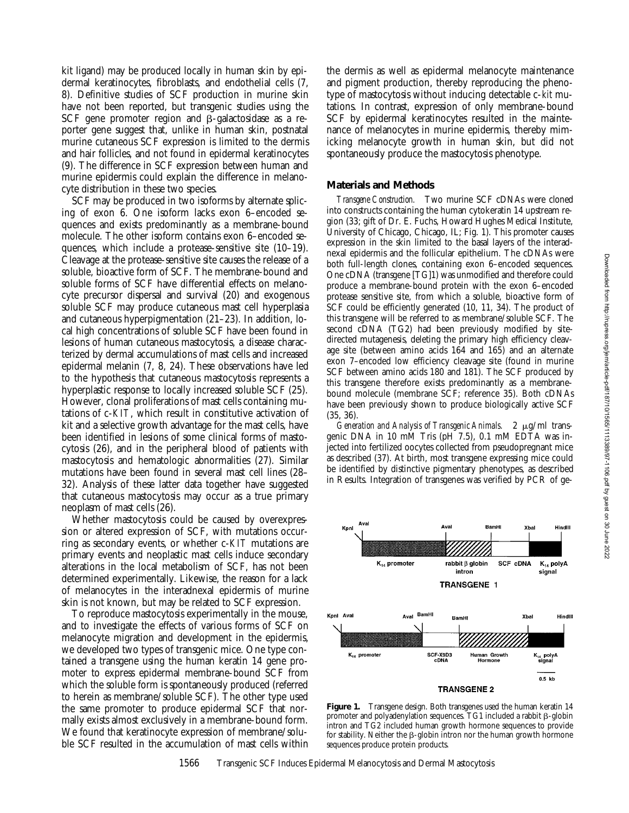Downloaded from http://rupress.org/jem/article-pdf/187/10/1565/1113389/97-1106.pdf by guest on 30 June 2022

kit ligand) may be produced locally in human skin by epidermal keratinocytes, fibroblasts, and endothelial cells (7, 8). Definitive studies of SCF production in murine skin have not been reported, but transgenic studies using the SCF gene promoter region and  $\beta$ -galactosidase as a reporter gene suggest that, unlike in human skin, postnatal murine cutaneous SCF expression is limited to the dermis and hair follicles, and not found in epidermal keratinocytes (9). The difference in SCF expression between human and murine epidermis could explain the difference in melanocyte distribution in these two species.

SCF may be produced in two isoforms by alternate splicing of exon 6. One isoform lacks exon 6–encoded sequences and exists predominantly as a membrane-bound molecule. The other isoform contains exon 6–encoded sequences, which include a protease-sensitive site (10–19). Cleavage at the protease-sensitive site causes the release of a soluble, bioactive form of SCF. The membrane-bound and soluble forms of SCF have differential effects on melanocyte precursor dispersal and survival (20) and exogenous soluble SCF may produce cutaneous mast cell hyperplasia and cutaneous hyperpigmentation (21–23). In addition, local high concentrations of soluble SCF have been found in lesions of human cutaneous mastocytosis, a disease characterized by dermal accumulations of mast cells and increased epidermal melanin (7, 8, 24). These observations have led to the hypothesis that cutaneous mastocytosis represents a hyperplastic response to locally increased soluble SCF (25). However, clonal proliferations of mast cells containing mutations of c-*KIT*, which result in constitutive activation of kit and a selective growth advantage for the mast cells, have been identified in lesions of some clinical forms of mastocytosis (26), and in the peripheral blood of patients with mastocytosis and hematologic abnormalities (27). Similar mutations have been found in several mast cell lines (28– 32). Analysis of these latter data together have suggested that cutaneous mastocytosis may occur as a true primary neoplasm of mast cells (26).

Whether mastocytosis could be caused by overexpression or altered expression of SCF, with mutations occurring as secondary events, or whether c-*KIT* mutations are primary events and neoplastic mast cells induce secondary alterations in the local metabolism of SCF, has not been determined experimentally. Likewise, the reason for a lack of melanocytes in the interadnexal epidermis of murine skin is not known, but may be related to SCF expression.

To reproduce mastocytosis experimentally in the mouse, and to investigate the effects of various forms of SCF on melanocyte migration and development in the epidermis, we developed two types of transgenic mice. One type contained a transgene using the human keratin 14 gene promoter to express epidermal membrane-bound SCF from which the soluble form is spontaneously produced (referred to herein as membrane/soluble SCF). The other type used the same promoter to produce epidermal SCF that normally exists almost exclusively in a membrane-bound form. We found that keratinocyte expression of membrane/soluble SCF resulted in the accumulation of mast cells within

the dermis as well as epidermal melanocyte maintenance and pigment production, thereby reproducing the phenotype of mastocytosis without inducing detectable c-*kit* mutations. In contrast, expression of only membrane-bound SCF by epidermal keratinocytes resulted in the maintenance of melanocytes in murine epidermis, thereby mimicking melanocyte growth in human skin, but did not spontaneously produce the mastocytosis phenotype.

# **Materials and Methods**

*Transgene Construction.* Two murine SCF cDNAs were cloned into constructs containing the human cytokeratin 14 upstream region (33; gift of Dr. E. Fuchs, Howard Hughes Medical Institute, University of Chicago, Chicago, IL; Fig. 1). This promoter causes expression in the skin limited to the basal layers of the interadnexal epidermis and the follicular epithelium. The cDNAs were both full-length clones, containing exon 6–encoded sequences. One cDNA (transgene [TG]1) was unmodified and therefore could produce a membrane-bound protein with the exon 6–encoded protease sensitive site, from which a soluble, bioactive form of SCF could be efficiently generated (10, 11, 34). The product of this transgene will be referred to as membrane/soluble SCF. The second cDNA (TG2) had been previously modified by sitedirected mutagenesis, deleting the primary high efficiency cleavage site (between amino acids 164 and 165) and an alternate exon 7–encoded low efficiency cleavage site (found in murine SCF between amino acids 180 and 181). The SCF produced by this transgene therefore exists predominantly as a membranebound molecule (membrane SCF; reference 35). Both cDNAs have been previously shown to produce biologically active SCF (35, 36).

*Generation and Analysis of Transgenic Animals.* 2 µg/ml transgenic DNA in 10 mM Tris (pH 7.5), 0.1 mM EDTA was injected into fertilized oocytes collected from pseudopregnant mice as described (37). At birth, most transgene expressing mice could be identified by distinctive pigmentary phenotypes, as described in Results. Integration of transgenes was verified by PCR of ge-



**Figure 1.** Transgene design. Both transgenes used the human keratin 14 promoter and polyadenylation sequences. TG1 included a rabbit  $\beta$ -globin intron and TG2 included human growth hormone sequences to provide for stability. Neither the  $\beta$ -globin intron nor the human growth hormone sequences produce protein products.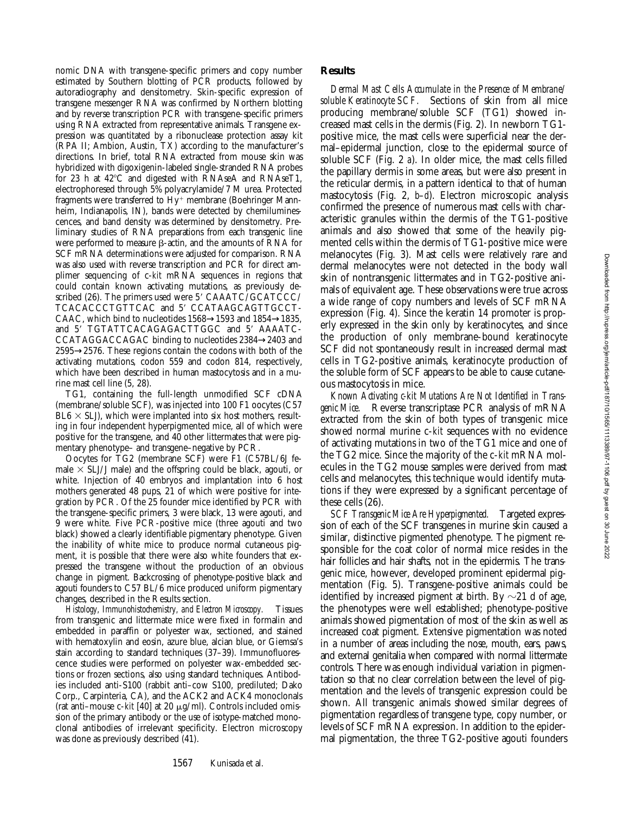nomic DNA with transgene-specific primers and copy number estimated by Southern blotting of PCR products, followed by autoradiography and densitometry. Skin-specific expression of transgene messenger RNA was confirmed by Northern blotting and by reverse transcription PCR with transgene-specific primers using RNA extracted from representative animals. Transgene expression was quantitated by a ribonuclease protection assay kit (RPA II; Ambion, Austin, TX) according to the manufacturer's directions. In brief, total RNA extracted from mouse skin was hybridized with digoxigenin-labeled single-stranded RNA probes for 23 h at  $42^{\circ}$ C and digested with RNAseA and RNAseT1, electrophoresed through 5% polyacrylamide/7 M urea. Protected fragments were transferred to  $Hy^+$  membrane (Boehringer Mannheim, Indianapolis, IN), bands were detected by chemiluminescences, and band density was determined by densitometry. Preliminary studies of RNA preparations from each transgenic line were performed to measure  $\beta$ -actin, and the amounts of RNA for SCF mRNA determinations were adjusted for comparison. RNA was also used with reverse transcription and PCR for direct amplimer sequencing of c-*kit* mRNA sequences in regions that could contain known activating mutations, as previously described (26). The primers used were  $5'$  CAAATC/GCATCCC/ TCACACCCTGTTCAC and 5' CCATAAGCAGTTGCCT-CAAC, which bind to nucleotides  $1568 \rightarrow 1593$  and  $1854 \rightarrow 1835$ , and 5' TGTATTCACAGAGACTTGGC and 5' AAAATC-CCATAGGACCAGAC binding to nucleotides 2384→2403 and 2595→2576. These regions contain the codons with both of the activating mutations, codon 559 and codon 814, respectively, which have been described in human mastocytosis and in a murine mast cell line (5, 28).

TG1, containing the full-length unmodified SCF cDNA (membrane/soluble SCF), was injected into 100 F1 oocytes (C57  $BL6 \times SLJ$ ), which were implanted into six host mothers, resulting in four independent hyperpigmented mice, all of which were positive for the transgene, and 40 other littermates that were pigmentary phenotype– and transgene–negative by PCR.

Oocytes for TG2 (membrane SCF) were F1 (C57BL/6J female  $\times$  SLJ/J male) and the offspring could be black, agouti, or white. Injection of 40 embryos and implantation into 6 host mothers generated 48 pups, 21 of which were positive for integration by PCR. Of the 25 founder mice identified by PCR with the transgene-specific primers, 3 were black, 13 were agouti, and 9 were white. Five PCR-positive mice (three agouti and two black) showed a clearly identifiable pigmentary phenotype. Given the inability of white mice to produce normal cutaneous pigment, it is possible that there were also white founders that expressed the transgene without the production of an obvious change in pigment. Backcrossing of phenotype-positive black and agouti founders to C57 BL/6 mice produced uniform pigmentary changes, described in the Results section.

*Histology, Immunohistochemistry, and Electron Microscopy.* Tissues from transgenic and littermate mice were fixed in formalin and embedded in paraffin or polyester wax, sectioned, and stained with hematoxylin and eosin, azure blue, alcian blue, or Giemsa's stain according to standard techniques (37–39). Immunofluorescence studies were performed on polyester wax-embedded sections or frozen sections, also using standard techniques. Antibodies included anti-S100 (rabbit anti–cow S100, prediluted; Dako Corp., Carpinteria, CA), and the ACK2 and ACK4 monoclonals (rat anti–mouse  $c$ -*kit* [40] at 20  $\mu$ g/ml). Controls included omission of the primary antibody or the use of isotype-matched monoclonal antibodies of irrelevant specificity. Electron microscopy was done as previously described (41).

## **Results**

*Dermal Mast Cells Accumulate in the Presence of Membrane/ soluble Keratinocyte SCF.* Sections of skin from all mice producing membrane/soluble SCF (TG1) showed increased mast cells in the dermis (Fig. 2). In newborn TG1 positive mice, the mast cells were superficial near the dermal–epidermal junction, close to the epidermal source of soluble SCF (Fig. 2 *a*). In older mice, the mast cells filled the papillary dermis in some areas, but were also present in the reticular dermis, in a pattern identical to that of human mastocytosis (Fig. 2, *b*–*d*). Electron microscopic analysis confirmed the presence of numerous mast cells with characteristic granules within the dermis of the TG1-positive animals and also showed that some of the heavily pigmented cells within the dermis of TG1-positive mice were melanocytes (Fig. 3). Mast cells were relatively rare and dermal melanocytes were not detected in the body wall skin of nontransgenic littermates and in TG2-positive animals of equivalent age. These observations were true across a wide range of copy numbers and levels of SCF mRNA expression (Fig. 4). Since the keratin 14 promoter is properly expressed in the skin only by keratinocytes, and since the production of only membrane-bound keratinocyte SCF did not spontaneously result in increased dermal mast cells in TG2-positive animals, keratinocyte production of the soluble form of SCF appears to be able to cause cutaneous mastocytosis in mice.

*Known Activating c-kit Mutations Are Not Identified in Transgenic Mice.* Reverse transcriptase PCR analysis of mRNA extracted from the skin of both types of transgenic mice showed normal murine c-*kit* sequences with no evidence of activating mutations in two of the TG1 mice and one of the TG2 mice. Since the majority of the c-*kit* mRNA molecules in the TG2 mouse samples were derived from mast cells and melanocytes, this technique would identify mutations if they were expressed by a significant percentage of these cells (26).

*SCF Transgenic Mice Are Hyperpigmented.* Targeted expression of each of the SCF transgenes in murine skin caused a similar, distinctive pigmented phenotype. The pigment responsible for the coat color of normal mice resides in the hair follicles and hair shafts, not in the epidermis. The transgenic mice, however, developed prominent epidermal pigmentation (Fig. 5). Transgene-positive animals could be identified by increased pigment at birth. By  $\sim$ 21 d of age, the phenotypes were well established; phenotype-positive animals showed pigmentation of most of the skin as well as increased coat pigment. Extensive pigmentation was noted in a number of areas including the nose, mouth, ears, paws, and external genitalia when compared with normal littermate controls. There was enough individual variation in pigmentation so that no clear correlation between the level of pigmentation and the levels of transgenic expression could be shown. All transgenic animals showed similar degrees of pigmentation regardless of transgene type, copy number, or levels of SCF mRNA expression. In addition to the epidermal pigmentation, the three TG2-positive agouti founders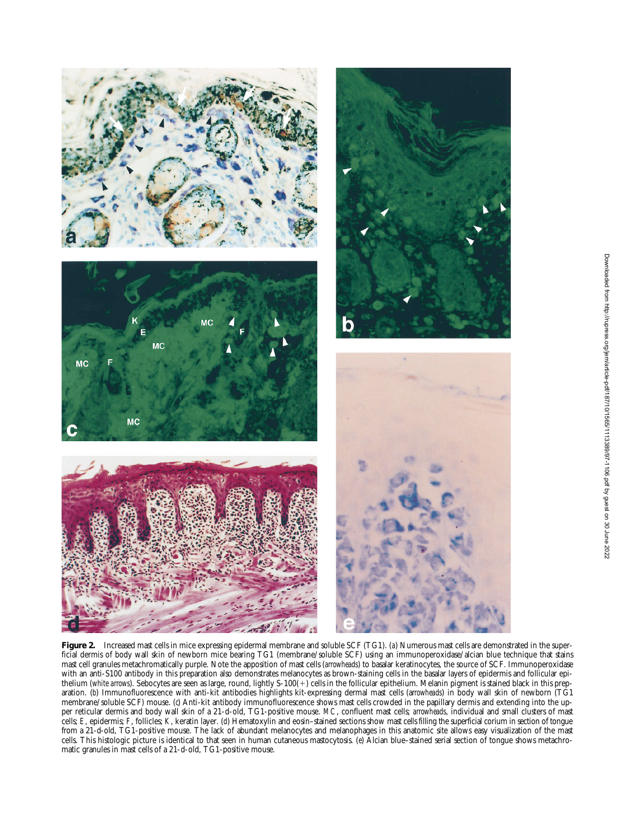

**Figure 2.** Increased mast cells in mice expressing epidermal membrane and soluble SCF (TG1). (*a*) Numerous mast cells are demonstrated in the superficial dermis of body wall skin of newborn mice bearing TG1 (membrane/soluble SCF) using an immunoperoxidase/alcian blue technique that stains mast cell granules metachromatically purple. Note the apposition of mast cells (*arrowheads*) to basalar keratinocytes, the source of SCF. Immunoperoxidase with an anti-S100 antibody in this preparation also demonstrates melanocytes as brown-staining cells in the basalar layers of epidermis and follicular epithelium (*white arrows*). Sebocytes are seen as large, round, lightly S-100(+) cells in the follicular epithelium. Melanin pigment is stained black in this preparation. (*b*) Immunofluorescence with anti-kit antibodies highlights kit-expressing dermal mast cells (a*rrowheads*) in body wall skin of newborn (TG1 membrane/soluble SCF) mouse. (*c*) Anti-kit antibody immunofluorescence shows mast cells crowded in the papillary dermis and extending into the upper reticular dermis and body wall skin of a 21-d-old, TG1-positive mouse. *MC*, confluent mast cells; *arrowheads*, individual and small clusters of mast cells; *E*, epidermis; *F*, follicles; *K*, keratin layer. (*d*) Hematoxylin and eosin–stained sections show mast cells filling the superficial corium in section of tongue from a 21-d-old, TG1-positive mouse. The lack of abundant melanocytes and melanophages in this anatomic site allows easy visualization of the mast cells. This histologic picture is identical to that seen in human cutaneous mastocytosis. (*e*) Alcian blue–stained serial section of tongue shows metachromatic granules in mast cells of a 21-d-old, TG1-positive mouse.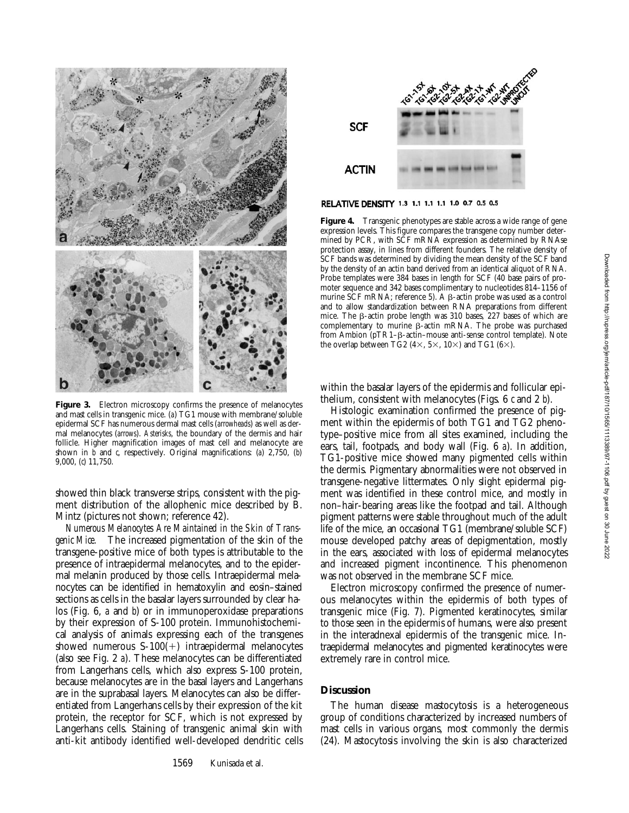

Figure 3. Electron microscopy confirms the presence of melanocytes and mast cells in transgenic mice. (*a*) TG1 mouse with membrane/soluble epidermal SCF has numerous dermal mast cells (*arrowheads*) as well as dermal melanocytes (*arrows*). *Asterisks*, the boundary of the dermis and hair follicle. Higher magnification images of mast cell and melanocyte are shown in *b* and *c*, respectively. Original magnifications: (*a*) 2,750, (*b*) 9,000, (*c*) 11,750.

showed thin black transverse strips, consistent with the pigment distribution of the allophenic mice described by B. Mintz (pictures not shown; reference 42).

*Numerous Melanocytes Are Maintained in the Skin of Transgenic Mice.* The increased pigmentation of the skin of the transgene-positive mice of both types is attributable to the presence of intraepidermal melanocytes, and to the epidermal melanin produced by those cells. Intraepidermal melanocytes can be identified in hematoxylin and eosin–stained sections as cells in the basalar layers surrounded by clear halos (Fig. 6, *a* and *b*) or in immunoperoxidase preparations by their expression of S-100 protein. Immunohistochemical analysis of animals expressing each of the transgenes showed numerous  $S-100(+)$  intraepidermal melanocytes (also see Fig. 2 *a*). These melanocytes can be differentiated from Langerhans cells, which also express S-100 protein, because melanocytes are in the basal layers and Langerhans are in the suprabasal layers. Melanocytes can also be differentiated from Langerhans cells by their expression of the kit protein, the receptor for SCF, which is not expressed by Langerhans cells. Staining of transgenic animal skin with anti-kit antibody identified well-developed dendritic cells



# RELATIVE DENSITY 1.3 1.1 1.1 1.1 1.0 0.7 0.5 0.5

**Figure 4.** Transgenic phenotypes are stable across a wide range of gene expression levels. This figure compares the transgene copy number determined by PCR, with SCF mRNA expression as determined by RNAse protection assay, in lines from different founders. The relative density of SCF bands was determined by dividing the mean density of the SCF band by the density of an actin band derived from an identical aliquot of RNA. Probe templates were 384 bases in length for SCF (40 base pairs of promoter sequence and 342 bases complimentary to nucleotides 814–1156 of murine SCF mRNA; reference 5). A  $\beta$ -actin probe was used as a control and to allow standardization between RNA preparations from different mice. The  $\beta$ -actin probe length was 310 bases, 227 bases of which are complementary to murine  $\beta$ -actin mRNA. The probe was purchased from Ambion (pTR1- $\beta$ -actin–mouse anti-sense control template). Note the overlap between TG2 (4 $\times$ , 5 $\times$ , 10 $\times$ ) and TG1 (6 $\times$ ).

within the basalar layers of the epidermis and follicular epithelium, consistent with melanocytes (Figs. 6 *c* and 2 *b*).

Histologic examination confirmed the presence of pigment within the epidermis of both TG1 and TG2 phenotype–positive mice from all sites examined, including the ears, tail, footpads, and body wall (Fig. 6 *a*). In addition, TG1-positive mice showed many pigmented cells within the dermis. Pigmentary abnormalities were not observed in transgene-negative littermates. Only slight epidermal pigment was identified in these control mice, and mostly in non–hair-bearing areas like the footpad and tail. Although pigment patterns were stable throughout much of the adult life of the mice, an occasional TG1 (membrane/soluble SCF) mouse developed patchy areas of depigmentation, mostly in the ears, associated with loss of epidermal melanocytes and increased pigment incontinence. This phenomenon was not observed in the membrane SCF mice.

Electron microscopy confirmed the presence of numerous melanocytes within the epidermis of both types of transgenic mice (Fig. 7). Pigmented keratinocytes, similar to those seen in the epidermis of humans, were also present in the interadnexal epidermis of the transgenic mice. Intraepidermal melanocytes and pigmented keratinocytes were extremely rare in control mice.

# **Discussion**

The human disease mastocytosis is a heterogeneous group of conditions characterized by increased numbers of mast cells in various organs, most commonly the dermis (24). Mastocytosis involving the skin is also characterized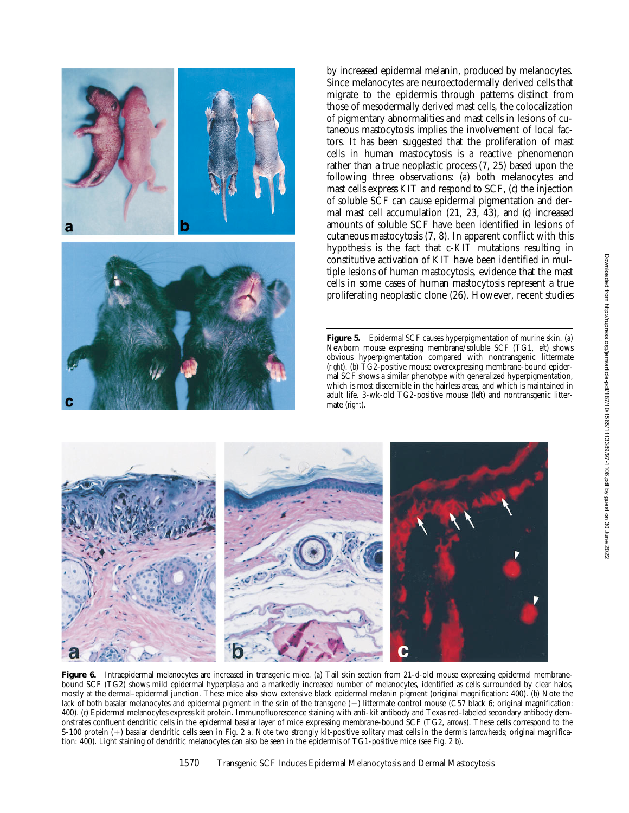

by increased epidermal melanin, produced by melanocytes. Since melanocytes are neuroectodermally derived cells that migrate to the epidermis through patterns distinct from those of mesodermally derived mast cells, the colocalization of pigmentary abnormalities and mast cells in lesions of cutaneous mastocytosis implies the involvement of local factors. It has been suggested that the proliferation of mast cells in human mastocytosis is a reactive phenomenon rather than a true neoplastic process (7, 25) based upon the following three observations: (*a*) both melanocytes and mast cells express KIT and respond to SCF, (*c*) the injection of soluble SCF can cause epidermal pigmentation and dermal mast cell accumulation (21, 23, 43), and (*c*) increased amounts of soluble SCF have been identified in lesions of cutaneous mastocytosis (7, 8). In apparent conflict with this hypothesis is the fact that c-*KIT* mutations resulting in constitutive activation of KIT have been identified in multiple lesions of human mastocytosis, evidence that the mast cells in some cases of human mastocytosis represent a true proliferating neoplastic clone (26). However, recent studies

**Figure 5.** Epidermal SCF causes hyperpigmentation of murine skin. (*a*) Newborn mouse expressing membrane/soluble SCF (TG1, *left*) shows obvious hyperpigmentation compared with nontransgenic littermate (*right*). (*b*) TG2-positive mouse overexpressing membrane-bound epidermal SCF shows a similar phenotype with generalized hyperpigmentation, which is most discernible in the hairless areas, and which is maintained in adult life. 3-wk-old TG2-positive mouse (*left*) and nontransgenic littermate (*right*).



**Figure 6.** Intraepidermal melanocytes are increased in transgenic mice. (*a*) Tail skin section from 21-d-old mouse expressing epidermal membranebound SCF (TG2) shows mild epidermal hyperplasia and a markedly increased number of melanocytes, identified as cells surrounded by clear halos, mostly at the dermal–epidermal junction. These mice also show extensive black epidermal melanin pigment (original magnification: 400). (*b*) Note the lack of both basalar melanocytes and epidermal pigment in the skin of the transgene (-) littermate control mouse (C57 black 6; original magnification: 400). (*c*) Epidermal melanocytes express kit protein. Immunofluorescence staining with anti-kit antibody and Texas red–labeled secondary antibody demonstrates confluent dendritic cells in the epidermal basalar layer of mice expressing membrane-bound SCF (TG2, *arrows*). These cells correspond to the S-100 protein (1) basalar dendritic cells seen in Fig. 2 *a*. Note two strongly kit-positive solitary mast cells in the dermis (*arrowheads*; original magnification: 400). Light staining of dendritic melanocytes can also be seen in the epidermis of TG1-positive mice (see Fig. 2 *b*).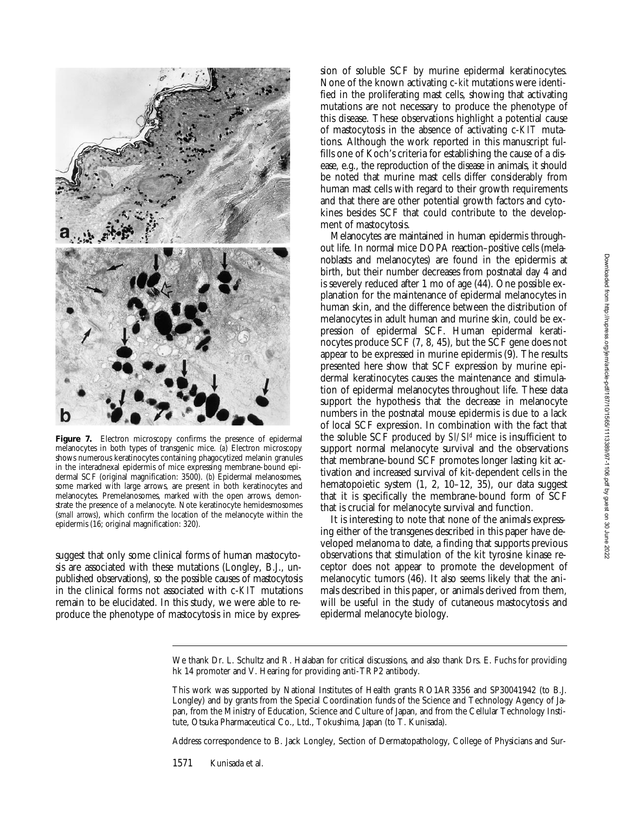

Figure 7. Electron microscopy confirms the presence of epidermal melanocytes in both types of transgenic mice. (*a*) Electron microscopy shows numerous keratinocytes containing phagocytized melanin granules in the interadnexal epidermis of mice expressing membrane-bound epidermal SCF (original magnification: 3500). (*b*) Epidermal melanosomes, some marked with large arrows, are present in both keratinocytes and melanocytes. Premelanosomes, marked with the open arrows, demonstrate the presence of a melanocyte. Note keratinocyte hemidesmosomes (*small arrows*), which confirm the location of the melanocyte within the epidermis (16; original magnification: 320).

suggest that only some clinical forms of human mastocytosis are associated with these mutations (Longley, B.J., unpublished observations), so the possible causes of mastocytosis in the clinical forms not associated with c-*KIT* mutations remain to be elucidated. In this study, we were able to reproduce the phenotype of mastocytosis in mice by expression of soluble SCF by murine epidermal keratinocytes. None of the known activating c-*kit* mutations were identified in the proliferating mast cells, showing that activating mutations are not necessary to produce the phenotype of this disease. These observations highlight a potential cause of mastocytosis in the absence of activating c-*KIT* mutations. Although the work reported in this manuscript fulfills one of Koch's criteria for establishing the cause of a disease, e.g., the reproduction of the disease in animals, it should be noted that murine mast cells differ considerably from human mast cells with regard to their growth requirements and that there are other potential growth factors and cytokines besides SCF that could contribute to the development of mastocytosis.

Melanocytes are maintained in human epidermis throughout life. In normal mice DOPA reaction–positive cells (melanoblasts and melanocytes) are found in the epidermis at birth, but their number decreases from postnatal day 4 and is severely reduced after 1 mo of age (44). One possible explanation for the maintenance of epidermal melanocytes in human skin, and the difference between the distribution of melanocytes in adult human and murine skin, could be expression of epidermal SCF. Human epidermal keratinocytes produce SCF (7, 8, 45), but the SCF gene does not appear to be expressed in murine epidermis  $(9)$ . The results presented here show that SCF expression by murine epidermal keratinocytes causes the maintenance and stimulation of epidermal melanocytes throughout life. These data support the hypothesis that the decrease in melanocyte numbers in the postnatal mouse epidermis is due to a lack of local SCF expression. In combination with the fact that the soluble SCF produced by *Sl/Sld* mice is insufficient to support normal melanocyte survival and the observations that membrane-bound SCF promotes longer lasting kit activation and increased survival of kit-dependent cells in the hematopoietic system  $(1, 2, 10-12, 35)$ , our data suggest that it is specifically the membrane-bound form of SCF that is crucial for melanocyte survival and function.

It is interesting to note that none of the animals expressing either of the transgenes described in this paper have developed melanoma to date, a finding that supports previous observations that stimulation of the kit tyrosine kinase receptor does not appear to promote the development of melanocytic tumors (46). It also seems likely that the animals described in this paper, or animals derived from them, will be useful in the study of cutaneous mastocytosis and epidermal melanocyte biology.

We thank Dr. L. Schultz and R. Halaban for critical discussions, and also thank Drs. E. Fuchs for providing hk 14 promoter and V. Hearing for providing anti-TRP2 antibody.

This work was supported by National Institutes of Health grants RO1AR3356 and SP30041942 (to B.J. Longley) and by grants from the Special Coordination funds of the Science and Technology Agency of Japan, from the Ministry of Education, Science and Culture of Japan, and from the Cellular Technology Institute, Otsuka Pharmaceutical Co., Ltd., Tokushima, Japan (to T. Kunisada).

Address correspondence to B. Jack Longley, Section of Dermatopathology, College of Physicians and Sur-

1571 Kunisada et al.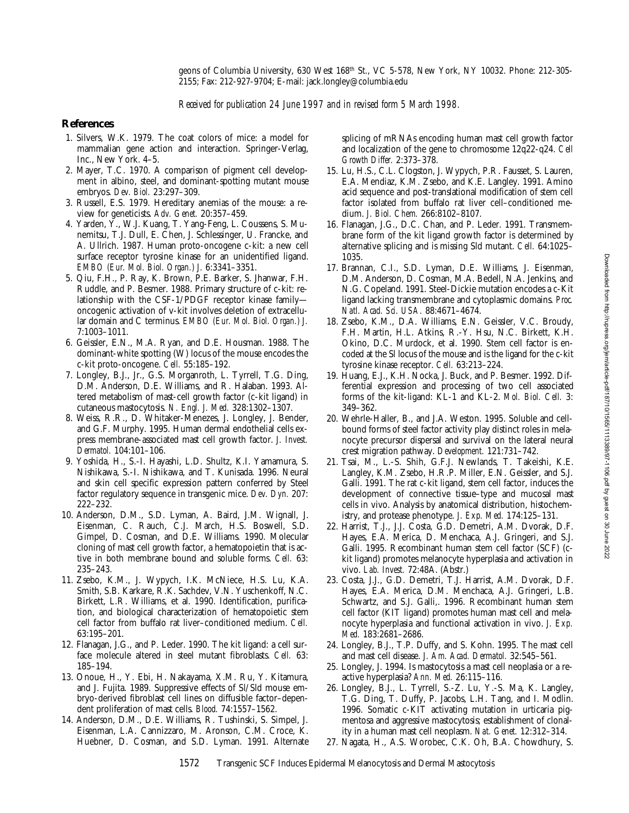geons of Columbia University, 630 West 168th St., VC 5-578, New York, NY 10032. Phone: 212-305- 2155; Fax: 212-927-9704; E-mail: jack.longley@columbia.edu

*Received for publication 24 June 1997 and in revised form 5 March 1998.*

# **References**

- 1. Silvers, W.K. 1979. The coat colors of mice: a model for mammalian gene action and interaction. Springer-Verlag, Inc., New York. 4–5.
- 2. Mayer, T.C. 1970. A comparison of pigment cell development in albino, steel, and dominant-spotting mutant mouse embryos. *Dev. Biol.* 23:297–309.
- 3. Russell, E.S. 1979. Hereditary anemias of the mouse: a review for geneticists. *Adv. Genet.* 20:357–459.
- 4. Yarden, Y., W.J. Kuang, T. Yang-Feng, L. Coussens, S. Munemitsu, T.J. Dull, E. Chen, J. Schlessinger, U. Francke, and A. Ullrich. 1987. Human proto-oncogene c-kit: a new cell surface receptor tyrosine kinase for an unidentified ligand. *EMBO (Eur. Mol. Biol. Organ.) J.* 6:3341–3351.
- 5. Qiu, F.H., P. Ray, K. Brown, P.E. Barker, S. Jhanwar, F.H. Ruddle, and P. Besmer. 1988. Primary structure of c-kit: relationship with the CSF-1/PDGF receptor kinase family oncogenic activation of v-kit involves deletion of extracellular domain and C terminus. *EMBO (Eur. Mol. Biol. Organ.) J.* 7:1003–1011.
- 6. Geissler, E.N., M.A. Ryan, and D.E. Housman. 1988. The dominant-white spotting (W) locus of the mouse encodes the c-kit proto-oncogene. *Cell.* 55:185–192.
- 7. Longley, B.J., Jr., G.S. Morganroth, L. Tyrrell, T.G. Ding, D.M. Anderson, D.E. Williams, and R. Halaban. 1993. Altered metabolism of mast-cell growth factor (c-kit ligand) in cutaneous mastocytosis. *N. Engl. J. Med.* 328:1302–1307.
- 8. Weiss, R.R., D. Whitaker-Menezes, J. Longley, J. Bender, and G.F. Murphy. 1995. Human dermal endothelial cells express membrane-associated mast cell growth factor. *J. Invest. Dermatol.* 104:101–106.
- 9. Yoshida, H., S.-I. Hayashi, L.D. Shultz, K.I. Yamamura, S. Nishikawa, S.-I. Nishikawa, and T. Kunisada. 1996. Neural and skin cell specific expression pattern conferred by Steel factor regulatory sequence in transgenic mice. *Dev. Dyn.* 207: 222–232.
- 10. Anderson, D.M., S.D. Lyman, A. Baird, J.M. Wignall, J. Eisenman, C. Rauch, C.J. March, H.S. Boswell, S.D. Gimpel, D. Cosman, and D.E. Williams. 1990. Molecular cloning of mast cell growth factor, a hematopoietin that is active in both membrane bound and soluble forms. *Cell.* 63: 235–243.
- 11. Zsebo, K.M., J. Wypych, I.K. McNiece, H.S. Lu, K.A. Smith, S.B. Karkare, R.K. Sachdev, V.N. Yuschenkoff, N.C. Birkett, L.R. Williams, et al. 1990. Identification, purification, and biological characterization of hematopoietic stem cell factor from buffalo rat liver–conditioned medium. *Cell.* 63:195–201.
- 12. Flanagan, J.G., and P. Leder. 1990. The kit ligand: a cell surface molecule altered in steel mutant fibroblasts. *Cell.* 63: 185–194.
- 13. Onoue, H., Y. Ebi, H. Nakayama, X.M. Ru, Y. Kitamura, and J. Fujita. 1989. Suppressive effects of Sl/Sld mouse embryo-derived fibroblast cell lines on diffusible factor–dependent proliferation of mast cells. *Blood.* 74:1557–1562.
- 14. Anderson, D.M., D.E. Williams, R. Tushinski, S. Simpel, J. Eisenman, L.A. Cannizzaro, M. Aronson, C.M. Croce, K. Huebner, D. Cosman, and S.D. Lyman. 1991. Alternate

splicing of mRNAs encoding human mast cell growth factor and localization of the gene to chromosome 12q22-q24. *Cell Growth Differ.* 2:373–378.

- 15. Lu, H.S., C.L. Clogston, J. Wypych, P.R. Fausset, S. Lauren, E.A. Mendiaz, K.M. Zsebo, and K.E. Langley. 1991. Amino acid sequence and post-translational modification of stem cell factor isolated from buffalo rat liver cell–conditioned medium. *J. Biol. Chem.* 266:8102–8107.
- 16. Flanagan, J.G., D.C. Chan, and P. Leder. 1991. Transmembrane form of the kit ligand growth factor is determined by alternative splicing and is missing Sld mutant. *Cell.* 64:1025– 1035.
- 17. Brannan, C.I., S.D. Lyman, D.E. Williams, J. Eisenman, D.M. Anderson, D. Cosman, M.A. Bedell, N.A. Jenkins, and N.G. Copeland. 1991. Steel-Dickie mutation encodes a c-Kit ligand lacking transmembrane and cytoplasmic domains. *Proc. Natl. Acad. Sci. USA.* 88:4671–4674.
- 18. Zsebo, K.M., D.A. Williams, E.N. Geissler, V.C. Broudy, F.H. Martin, H.L. Atkins, R.-Y. Hsu, N.C. Birkett, K.H. Okino, D.C. Murdock, et al. 1990. Stem cell factor is encoded at the Sl locus of the mouse and is the ligand for the c-kit tyrosine kinase receptor. *Cell.* 63:213–224.
- 19. Huang, E.J., K.H. Nocka, J. Buck, and P. Besmer. 1992. Differential expression and processing of two cell associated forms of the kit-ligand: KL-1 and KL-2. *Mol. Biol. Cell.* 3: 349–362.
- 20. Wehrle-Haller, B., and J.A. Weston. 1995. Soluble and cellbound forms of steel factor activity play distinct roles in melanocyte precursor dispersal and survival on the lateral neural crest migration pathway. *Development.* 121:731–742.
- 21. Tsai, M., L.-S. Shih, G.F.J. Newlands, T. Takeishi, K.E. Langley, K.M. Zsebo, H.R.P. Miller, E.N. Geissler, and S.J. Galli. 1991. The rat c-kit ligand, stem cell factor, induces the development of connective tissue–type and mucosal mast cells in vivo. Analysis by anatomical distribution, histochemistry, and protease phenotype. *J. Exp. Med.* 174:125–131.
- 22. Harrist, T.J., J.J. Costa, G.D. Demetri, A.M. Dvorak, D.F. Hayes, E.A. Merica, D. Menchaca, A.J. Gringeri, and S.J. Galli. 1995. Recombinant human stem cell factor (SCF) (ckit ligand) promotes melanocyte hyperplasia and activation in vivo. *Lab. Invest.* 72:48A. (Abstr.)
- 23. Costa, J.J., G.D. Demetri, T.J. Harrist, A.M. Dvorak, D.F. Hayes, E.A. Merica, D.M. Menchaca, A.J. Gringeri, L.B. Schwartz, and S.J. Galli,. 1996. Recombinant human stem cell factor (KIT ligand) promotes human mast cell and melanocyte hyperplasia and functional activation in vivo. *J. Exp. Med.* 183:2681–2686.
- 24. Longley, B.J., T.P. Duffy, and S. Kohn. 1995. The mast cell and mast cell disease. *J. Am. Acad. Dermatol.* 32:545–561.
- 25. Longley, J. 1994. Is mastocytosis a mast cell neoplasia or a reactive hyperplasia? *Ann. Med.* 26:115–116.
- 26. Longley, B.J., L. Tyrrell, S.-Z. Lu, Y.-S. Ma, K. Langley, T.G. Ding, T. Duffy, P. Jacobs, L.H. Tang, and I. Modlin. 1996. Somatic c-KIT activating mutation in urticaria pigmentosa and aggressive mastocytosis; establishment of clonality in a human mast cell neoplasm. *Nat. Genet.* 12:312–314.
- 27. Nagata, H., A.S. Worobec, C.K. Oh, B.A. Chowdhury, S.